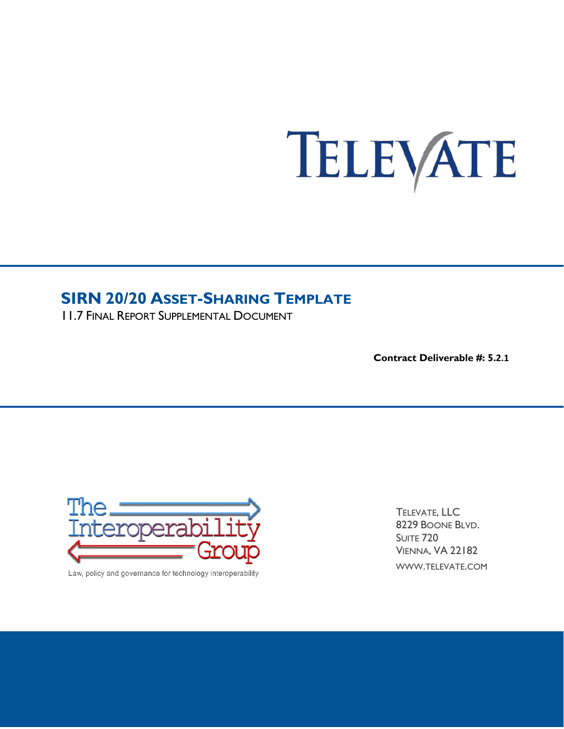# TELEVATE

# **SIRN 20/20 ASSET-SHARING TEMPLATE**

11.7 FINAL REPORT SUPPLEMENTAL DOCUMENT

**Contract Deliverable #: 5.2.1**



Law, policy and governance for technology interoperability

TELEVATE, LLC 8229 BOONE BLVD. SUITE 720 VIENNA, VA 22182 WWW.TELEVATE.COM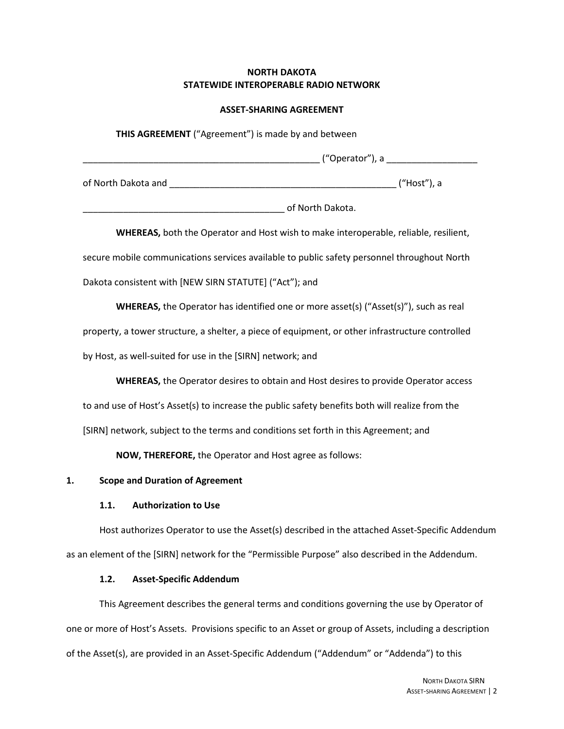## **NORTH DAKOTA STATEWIDE INTEROPERABLE RADIO NETWORK**

#### **ASSET-SHARING AGREEMENT**

**THIS AGREEMENT** ("Agreement") is made by and between  $($  "Operator"), a of North Dakota and **the contract of North Dakota and**  $($  "Host"), a extending the of North Dakota.

**WHEREAS,** both the Operator and Host wish to make interoperable, reliable, resilient, secure mobile communications services available to public safety personnel throughout North Dakota consistent with [NEW SIRN STATUTE] ("Act"); and

**WHEREAS,** the Operator has identified one or more asset(s) ("Asset(s)"), such as real property, a tower structure, a shelter, a piece of equipment, or other infrastructure controlled by Host, as well-suited for use in the [SIRN] network; and

**WHEREAS,** the Operator desires to obtain and Host desires to provide Operator access to and use of Host's Asset(s) to increase the public safety benefits both will realize from the [SIRN] network, subject to the terms and conditions set forth in this Agreement; and

**NOW, THEREFORE,** the Operator and Host agree as follows:

## **1. Scope and Duration of Agreement**

## **1.1. Authorization to Use**

Host authorizes Operator to use the Asset(s) described in the attached Asset-Specific Addendum as an element of the [SIRN] network for the "Permissible Purpose" also described in the Addendum.

## **1.2. Asset-Specific Addendum**

This Agreement describes the general terms and conditions governing the use by Operator of one or more of Host's Assets. Provisions specific to an Asset or group of Assets, including a description of the Asset(s), are provided in an Asset-Specific Addendum ("Addendum" or "Addenda") to this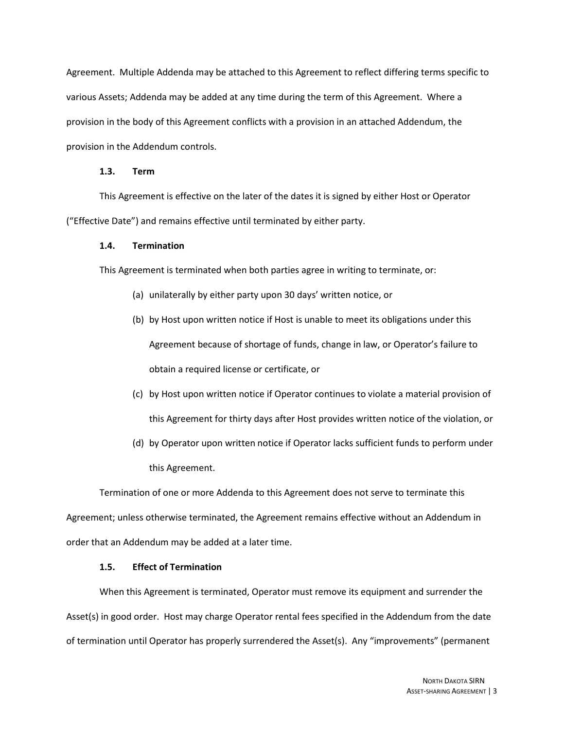Agreement. Multiple Addenda may be attached to this Agreement to reflect differing terms specific to various Assets; Addenda may be added at any time during the term of this Agreement. Where a provision in the body of this Agreement conflicts with a provision in an attached Addendum, the provision in the Addendum controls.

#### **1.3. Term**

This Agreement is effective on the later of the dates it is signed by either Host or Operator ("Effective Date") and remains effective until terminated by either party.

### **1.4. Termination**

This Agreement is terminated when both parties agree in writing to terminate, or:

- (a) unilaterally by either party upon 30 days' written notice, or
- (b) by Host upon written notice if Host is unable to meet its obligations under this Agreement because of shortage of funds, change in law, or Operator's failure to obtain a required license or certificate, or
- (c) by Host upon written notice if Operator continues to violate a material provision of this Agreement for thirty days after Host provides written notice of the violation, or
- (d) by Operator upon written notice if Operator lacks sufficient funds to perform under this Agreement.

Termination of one or more Addenda to this Agreement does not serve to terminate this Agreement; unless otherwise terminated, the Agreement remains effective without an Addendum in order that an Addendum may be added at a later time.

## **1.5. Effect of Termination**

When this Agreement is terminated, Operator must remove its equipment and surrender the Asset(s) in good order. Host may charge Operator rental fees specified in the Addendum from the date of termination until Operator has properly surrendered the Asset(s). Any "improvements" (permanent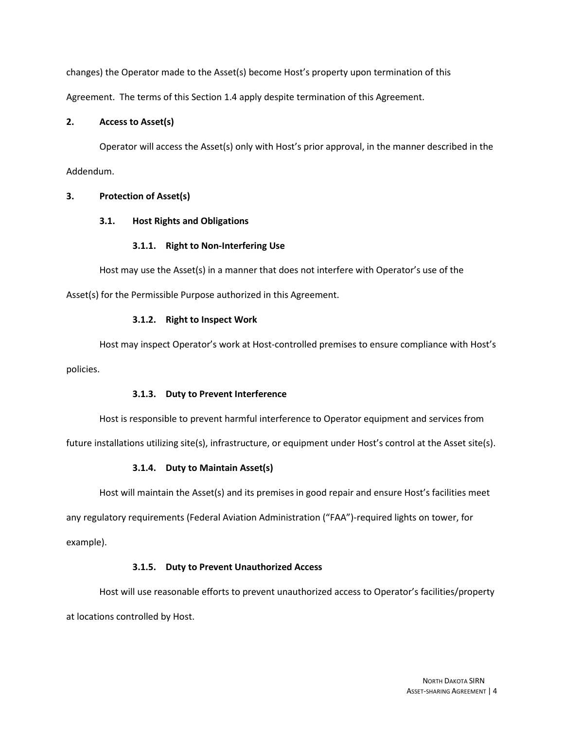changes) the Operator made to the Asset(s) become Host's property upon termination of this Agreement. The terms of this Section 1.4 apply despite termination of this Agreement.

## **2. Access to Asset(s)**

Operator will access the Asset(s) only with Host's prior approval, in the manner described in the Addendum.

## **3. Protection of Asset(s)**

## **3.1. Host Rights and Obligations**

## **3.1.1. Right to Non-Interfering Use**

Host may use the Asset(s) in a manner that does not interfere with Operator's use of the Asset(s) for the Permissible Purpose authorized in this Agreement.

## **3.1.2. Right to Inspect Work**

Host may inspect Operator's work at Host-controlled premises to ensure compliance with Host's policies.

## **3.1.3. Duty to Prevent Interference**

Host is responsible to prevent harmful interference to Operator equipment and services from

future installations utilizing site(s), infrastructure, or equipment under Host's control at the Asset site(s).

## **3.1.4. Duty to Maintain Asset(s)**

Host will maintain the Asset(s) and its premises in good repair and ensure Host's facilities meet any regulatory requirements (Federal Aviation Administration ("FAA")-required lights on tower, for example).

## **3.1.5. Duty to Prevent Unauthorized Access**

Host will use reasonable efforts to prevent unauthorized access to Operator's facilities/property at locations controlled by Host.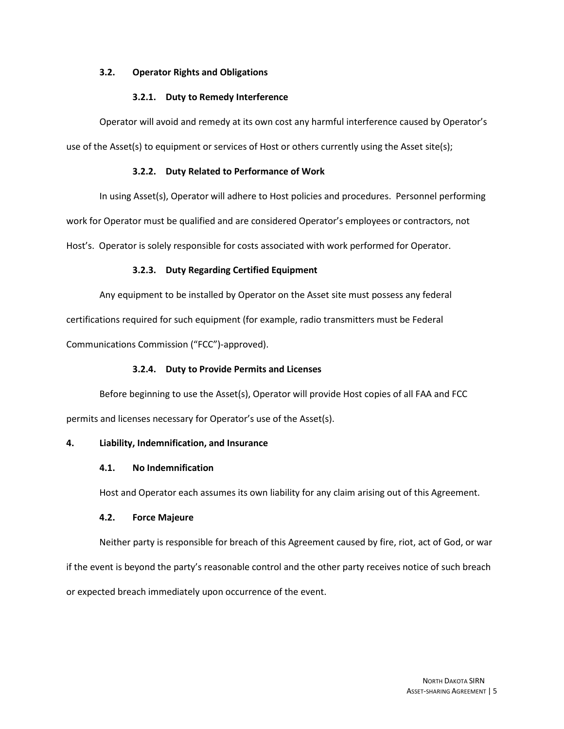## **3.2. Operator Rights and Obligations**

## **3.2.1. Duty to Remedy Interference**

Operator will avoid and remedy at its own cost any harmful interference caused by Operator's use of the Asset(s) to equipment or services of Host or others currently using the Asset site(s);

## **3.2.2. Duty Related to Performance of Work**

In using Asset(s), Operator will adhere to Host policies and procedures. Personnel performing

work for Operator must be qualified and are considered Operator's employees or contractors, not

Host's. Operator is solely responsible for costs associated with work performed for Operator.

## **3.2.3. Duty Regarding Certified Equipment**

Any equipment to be installed by Operator on the Asset site must possess any federal

certifications required for such equipment (for example, radio transmitters must be Federal

Communications Commission ("FCC")-approved).

## **3.2.4. Duty to Provide Permits and Licenses**

Before beginning to use the Asset(s), Operator will provide Host copies of all FAA and FCC

permits and licenses necessary for Operator's use of the Asset(s).

## **4. Liability, Indemnification, and Insurance**

#### **4.1. No Indemnification**

Host and Operator each assumes its own liability for any claim arising out of this Agreement.

#### **4.2. Force Majeure**

Neither party is responsible for breach of this Agreement caused by fire, riot, act of God, or war if the event is beyond the party's reasonable control and the other party receives notice of such breach or expected breach immediately upon occurrence of the event.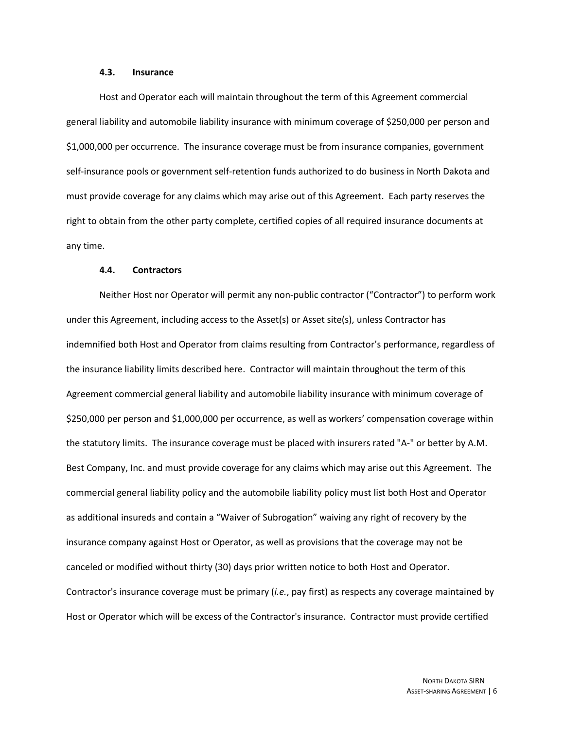#### **4.3. Insurance**

Host and Operator each will maintain throughout the term of this Agreement commercial general liability and automobile liability insurance with minimum coverage of \$250,000 per person and \$1,000,000 per occurrence. The insurance coverage must be from insurance companies, government self-insurance pools or government self-retention funds authorized to do business in North Dakota and must provide coverage for any claims which may arise out of this Agreement. Each party reserves the right to obtain from the other party complete, certified copies of all required insurance documents at any time.

#### **4.4. Contractors**

Neither Host nor Operator will permit any non-public contractor ("Contractor") to perform work under this Agreement, including access to the Asset(s) or Asset site(s), unless Contractor has indemnified both Host and Operator from claims resulting from Contractor's performance, regardless of the insurance liability limits described here. Contractor will maintain throughout the term of this Agreement commercial general liability and automobile liability insurance with minimum coverage of \$250,000 per person and \$1,000,000 per occurrence, as well as workers' compensation coverage within the statutory limits. The insurance coverage must be placed with insurers rated "A-" or better by A.M. Best Company, Inc. and must provide coverage for any claims which may arise out this Agreement. The commercial general liability policy and the automobile liability policy must list both Host and Operator as additional insureds and contain a "Waiver of Subrogation" waiving any right of recovery by the insurance company against Host or Operator, as well as provisions that the coverage may not be canceled or modified without thirty (30) days prior written notice to both Host and Operator. Contractor's insurance coverage must be primary (*i.e.*, pay first) as respects any coverage maintained by Host or Operator which will be excess of the Contractor's insurance. Contractor must provide certified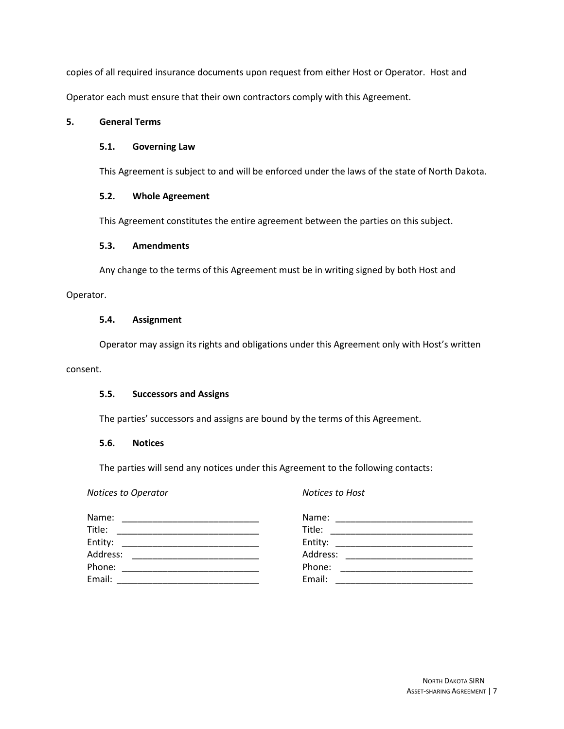copies of all required insurance documents upon request from either Host or Operator. Host and Operator each must ensure that their own contractors comply with this Agreement.

## **5. General Terms**

## **5.1. Governing Law**

This Agreement is subject to and will be enforced under the laws of the state of North Dakota.

## **5.2. Whole Agreement**

This Agreement constitutes the entire agreement between the parties on this subject.

## **5.3. Amendments**

Any change to the terms of this Agreement must be in writing signed by both Host and Operator.

## **5.4. Assignment**

Operator may assign its rights and obligations under this Agreement only with Host's written

### consent.

## **5.5. Successors and Assigns**

The parties' successors and assigns are bound by the terms of this Agreement.

## **5.6. Notices**

The parties will send any notices under this Agreement to the following contacts:

| Notices to Operator                                               | <b>Notices to Host</b> |
|-------------------------------------------------------------------|------------------------|
| Name:                                                             | Name:                  |
| <u> 1980 - Johann John Stone, mars eta biztanleria (h. 1980).</u> |                        |
| Title:                                                            | Title:                 |
| Entity:                                                           | Entity:                |
|                                                                   |                        |
| Address:                                                          | Address:               |
|                                                                   |                        |
| Phone:                                                            | Phone:                 |
| Email:                                                            | Email:                 |
|                                                                   |                        |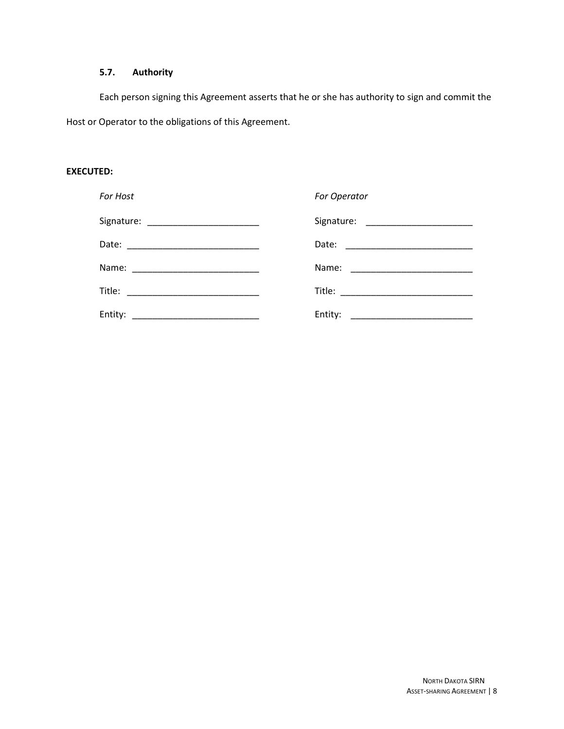## **5.7. Authority**

Each person signing this Agreement asserts that he or she has authority to sign and commit the Host or Operator to the obligations of this Agreement.

#### **EXECUTED:**

| For Host | For Operator |
|----------|--------------|
|          |              |
|          |              |
|          |              |
|          |              |
| Entity:  | Entity:      |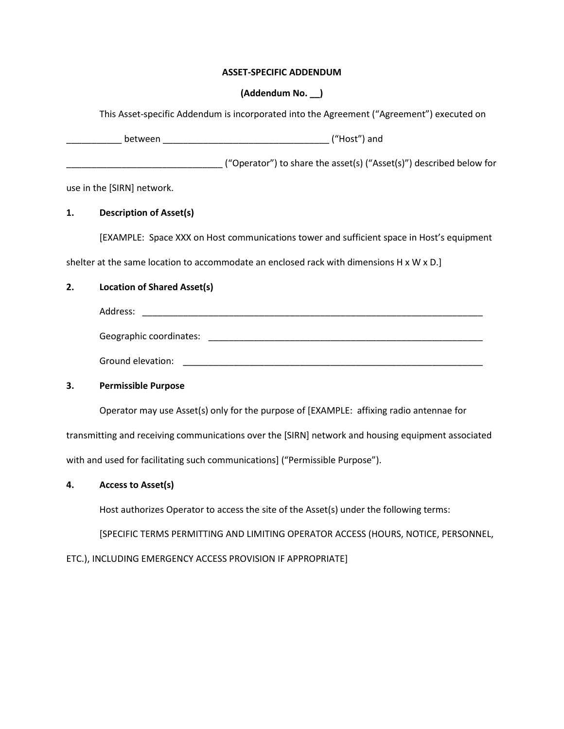## **ASSET-SPECIFIC ADDENDUM**

## **(Addendum No. \_\_)**

This Asset-specific Addendum is incorporated into the Agreement ("Agreement") executed on

|    |                                    | ("Operator") to share the asset(s) ("Asset(s)") described below for                                |  |
|----|------------------------------------|----------------------------------------------------------------------------------------------------|--|
|    | use in the [SIRN] network.         |                                                                                                    |  |
| 1. | <b>Description of Asset(s)</b>     |                                                                                                    |  |
|    |                                    | [EXAMPLE: Space XXX on Host communications tower and sufficient space in Host's equipment          |  |
|    |                                    | shelter at the same location to accommodate an enclosed rack with dimensions H x W x D.]           |  |
| 2. | <b>Location of Shared Asset(s)</b> |                                                                                                    |  |
|    |                                    |                                                                                                    |  |
|    |                                    |                                                                                                    |  |
|    |                                    |                                                                                                    |  |
| 3. | <b>Permissible Purpose</b>         |                                                                                                    |  |
|    |                                    | Operator may use Asset(s) only for the purpose of [EXAMPLE: affixing radio antennae for            |  |
|    |                                    | transmitting and receiving communications over the [SIRN] network and housing equipment associated |  |

with and used for facilitating such communications] ("Permissible Purpose").

## **4. Access to Asset(s)**

Host authorizes Operator to access the site of the Asset(s) under the following terms:

[SPECIFIC TERMS PERMITTING AND LIMITING OPERATOR ACCESS (HOURS, NOTICE, PERSONNEL,

ETC.), INCLUDING EMERGENCY ACCESS PROVISION IF APPROPRIATE]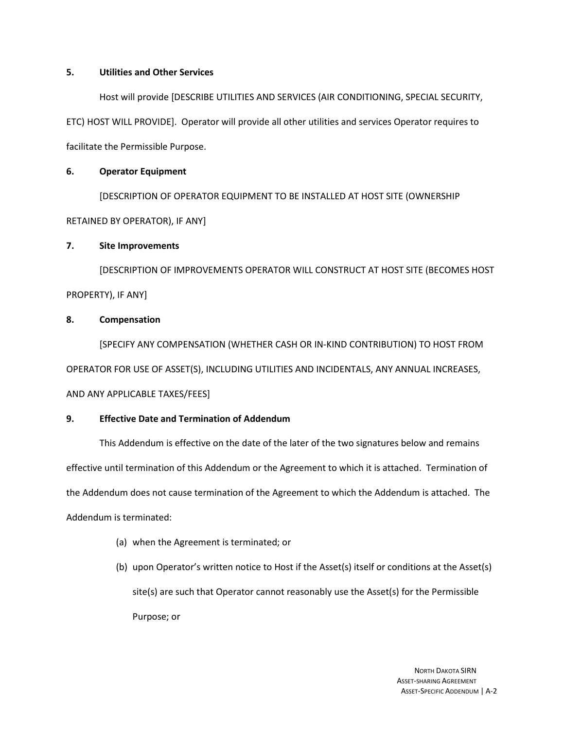## **5. Utilities and Other Services**

Host will provide [DESCRIBE UTILITIES AND SERVICES (AIR CONDITIONING, SPECIAL SECURITY, ETC) HOST WILL PROVIDE]. Operator will provide all other utilities and services Operator requires to facilitate the Permissible Purpose.

## **6. Operator Equipment**

[DESCRIPTION OF OPERATOR EQUIPMENT TO BE INSTALLED AT HOST SITE (OWNERSHIP RETAINED BY OPERATOR), IF ANY]

## **7. Site Improvements**

[DESCRIPTION OF IMPROVEMENTS OPERATOR WILL CONSTRUCT AT HOST SITE (BECOMES HOST PROPERTY), IF ANY]

## **8. Compensation**

[SPECIFY ANY COMPENSATION (WHETHER CASH OR IN-KIND CONTRIBUTION) TO HOST FROM OPERATOR FOR USE OF ASSET(S), INCLUDING UTILITIES AND INCIDENTALS, ANY ANNUAL INCREASES, AND ANY APPLICABLE TAXES/FEES]

## **9. Effective Date and Termination of Addendum**

This Addendum is effective on the date of the later of the two signatures below and remains effective until termination of this Addendum or the Agreement to which it is attached. Termination of the Addendum does not cause termination of the Agreement to which the Addendum is attached. The Addendum is terminated:

- (a) when the Agreement is terminated; or
- (b) upon Operator's written notice to Host if the Asset(s) itself or conditions at the Asset(s) site(s) are such that Operator cannot reasonably use the Asset(s) for the Permissible Purpose; or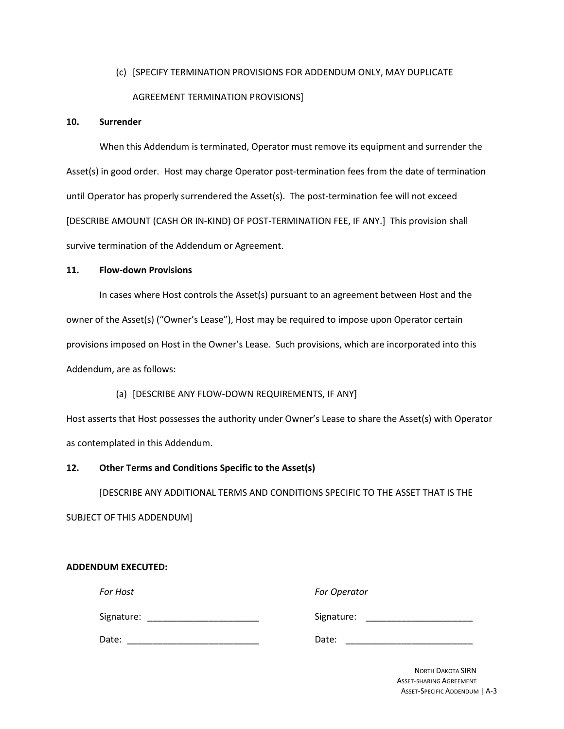## (c) [SPECIFY TERMINATION PROVISIONS FOR ADDENDUM ONLY, MAY DUPLICATE AGREEMENT TERMINATION PROVISIONS]

## **10. Surrender**

When this Addendum is terminated, Operator must remove its equipment and surrender the Asset(s) in good order. Host may charge Operator post-termination fees from the date of termination until Operator has properly surrendered the Asset(s). The post-termination fee will not exceed [DESCRIBE AMOUNT (CASH OR IN-KIND) OF POST-TERMINATION FEE, IF ANY.] This provision shall survive termination of the Addendum or Agreement.

### **11. Flow-down Provisions**

**ADDENDUM EXECUTED:**

In cases where Host controls the Asset(s) pursuant to an agreement between Host and the owner of the Asset(s) ("Owner's Lease"), Host may be required to impose upon Operator certain provisions imposed on Host in the Owner's Lease. Such provisions, which are incorporated into this Addendum, are as follows:

## (a) [DESCRIBE ANY FLOW-DOWN REQUIREMENTS, IF ANY]

Host asserts that Host possesses the authority under Owner's Lease to share the Asset(s) with Operator as contemplated in this Addendum.

## **12. Other Terms and Conditions Specific to the Asset(s)**

[DESCRIBE ANY ADDITIONAL TERMS AND CONDITIONS SPECIFIC TO THE ASSET THAT IS THE SUBJECT OF THIS ADDENDUM]

| <b>For Host</b> | For Operator |
|-----------------|--------------|
| Signature:      | Signature:   |
| Date:           | Date:        |

NORTH DAKOTA SIRN ASSET-SHARING AGREEMENT ASSET-SPECIFIC ADDENDUM | A-3